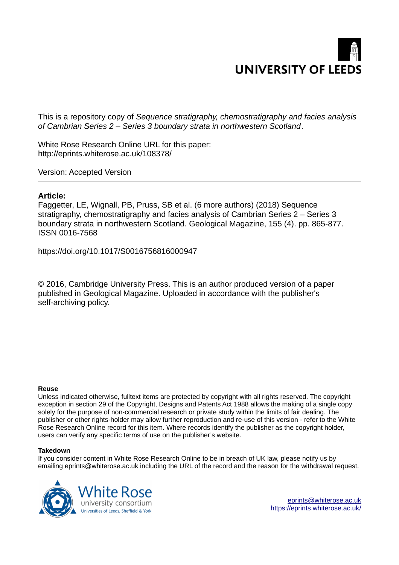

This is a repository copy of *Sequence stratigraphy, chemostratigraphy and facies analysis of Cambrian Series 2 – Series 3 boundary strata in northwestern Scotland*.

White Rose Research Online URL for this paper: http://eprints.whiterose.ac.uk/108378/

Version: Accepted Version

#### **Article:**

Faggetter, LE, Wignall, PB, Pruss, SB et al. (6 more authors) (2018) Sequence stratigraphy, chemostratigraphy and facies analysis of Cambrian Series 2 – Series 3 boundary strata in northwestern Scotland. Geological Magazine, 155 (4). pp. 865-877. ISSN 0016-7568

https://doi.org/10.1017/S0016756816000947

© 2016, Cambridge University Press. This is an author produced version of a paper published in Geological Magazine. Uploaded in accordance with the publisher's self-archiving policy.

#### **Reuse**

Unless indicated otherwise, fulltext items are protected by copyright with all rights reserved. The copyright exception in section 29 of the Copyright, Designs and Patents Act 1988 allows the making of a single copy solely for the purpose of non-commercial research or private study within the limits of fair dealing. The publisher or other rights-holder may allow further reproduction and re-use of this version - refer to the White Rose Research Online record for this item. Where records identify the publisher as the copyright holder, users can verify any specific terms of use on the publisher's website.

#### **Takedown**

If you consider content in White Rose Research Online to be in breach of UK law, please notify us by emailing eprints@whiterose.ac.uk including the URL of the record and the reason for the withdrawal request.

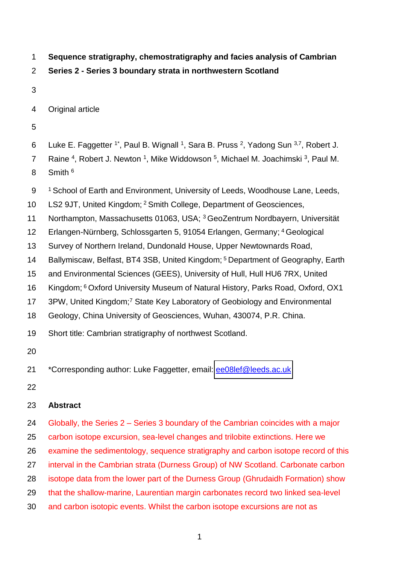- **Sequence stratigraphy, chemostratigraphy and facies analysis of Cambrian**
- **Series 2 Series 3 boundary strata in northwestern Scotland**
- 

4 Original article

- 
- 6 Luke E. Faggetter <sup>1\*</sup>, Paul B. Wignall <sup>1</sup>, Sara B. Pruss <sup>2</sup>, Yadong Sun <sup>3,7</sup>, Robert J.
- 7 Raine <sup>4</sup>, Robert J. Newton <sup>1</sup>, Mike Widdowson <sup>5</sup>, Michael M. Joachimski <sup>3</sup>, Paul M.
- 8 Smith <sup>6</sup>
- 9 1 School of Earth and Environment, University of Leeds, Woodhouse Lane, Leeds,
- 10 LS2 9JT, United Kingdom; <sup>2</sup> Smith College, Department of Geosciences,
- 11 Northampton, Massachusetts 01063, USA; 3GeoZentrum Nordbayern, Universität
- 12 Erlangen-Nürnberg, Schlossgarten 5, 91054 Erlangen, Germany; <sup>4</sup> Geological
- Survey of Northern Ireland, Dundonald House, Upper Newtownards Road,
- 14 Ballymiscaw, Belfast, BT4 3SB, United Kingdom; <sup>5</sup> Department of Geography, Earth
- and Environmental Sciences (GEES), University of Hull, Hull HU6 7RX, United
- 16 Kingdom; <sup>6</sup>Oxford University Museum of Natural History, Parks Road, Oxford, OX1
- 17 3PW, United Kingdom;<sup>7</sup> State Key Laboratory of Geobiology and Environmental
- Geology, China University of Geosciences, Wuhan, 430074, P.R. China.
- Short title: Cambrian stratigraphy of northwest Scotland.
- 
- 21 \*Corresponding author: Luke Faggetter, email: ee08lef@leeds.ac.uk
- 

# **Abstract**

- Globally, the Series 2 Series 3 boundary of the Cambrian coincides with a major carbon isotope excursion, sea-level changes and trilobite extinctions. Here we
- examine the sedimentology, sequence stratigraphy and carbon isotope record of this
- interval in the Cambrian strata (Durness Group) of NW Scotland. Carbonate carbon
- isotope data from the lower part of the Durness Group (Ghrudaidh Formation) show
- that the shallow-marine, Laurentian margin carbonates record two linked sea-level
- and carbon isotopic events. Whilst the carbon isotope excursions are not as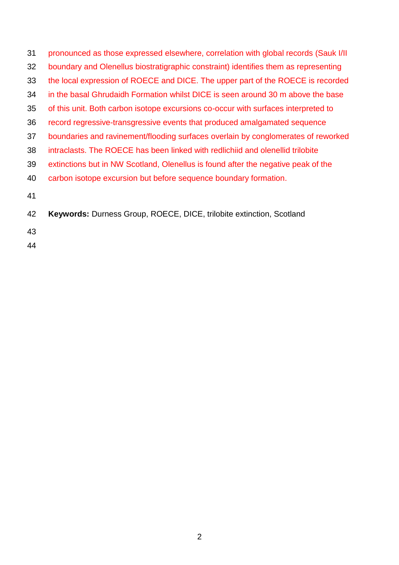| 31 | pronounced as those expressed elsewhere, correlation with global records (Sauk I/II) |
|----|--------------------------------------------------------------------------------------|
| 32 | boundary and Olenellus biostratigraphic constraint) identifies them as representing  |
| 33 | the local expression of ROECE and DICE. The upper part of the ROECE is recorded      |
| 34 | in the basal Ghrudaidh Formation whilst DICE is seen around 30 m above the base      |
| 35 | of this unit. Both carbon isotope excursions co-occur with surfaces interpreted to   |
| 36 | record regressive-transgressive events that produced amalgamated sequence            |
| 37 | boundaries and ravinement/flooding surfaces overlain by conglomerates of reworked    |
| 38 | intraclasts. The ROECE has been linked with redlichiid and olenellid trilobite       |
| 39 | extinctions but in NW Scotland, Olenellus is found after the negative peak of the    |
| 40 | carbon isotope excursion but before sequence boundary formation.                     |
| 41 |                                                                                      |
| 42 | Keywords: Durness Group, ROECE, DICE, trilobite extinction, Scotland                 |
| 43 |                                                                                      |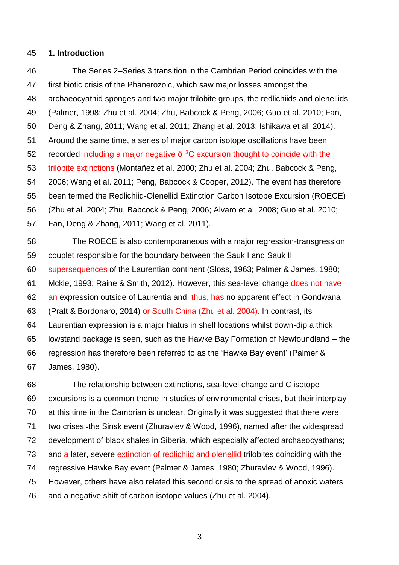#### **1. Introduction**

 The Series 2–Series 3 transition in the Cambrian Period coincides with the first biotic crisis of the Phanerozoic, which saw major losses amongst the archaeocyathid sponges and two major trilobite groups, the redlichiids and olenellids (Palmer, 1998; Zhu et al. 2004; Zhu, Babcock & Peng, 2006; Guo et al. 2010; Fan, Deng & Zhang, 2011; Wang et al. 2011; Zhang et al. 2013; Ishikawa et al. 2014). Around the same time, a series of major carbon isotope oscillations have been 52 recorded including a major negative  $\delta^{13}$ C excursion thought to coincide with the trilobite extinctions (Montañez et al. 2000; Zhu et al. 2004; Zhu, Babcock & Peng, 2006; Wang et al. 2011; Peng, Babcock & Cooper, 2012). The event has therefore been termed the Redlichiid-Olenellid Extinction Carbon Isotope Excursion (ROECE) (Zhu et al. 2004; Zhu, Babcock & Peng, 2006; Alvaro et al. 2008; Guo et al. 2010; Fan, Deng & Zhang, 2011; Wang et al. 2011). The ROECE is also contemporaneous with a major regression-transgression

 couplet responsible for the boundary between the Sauk I and Sauk II supersequences of the Laurentian continent (Sloss, 1963; Palmer & James, 1980; Mckie, 1993; Raine & Smith, 2012). However, this sea-level change does not have an expression outside of Laurentia and, thus, has no apparent effect in Gondwana (Pratt & Bordonaro, 2014) or South China (Zhu et al. 2004). In contrast, its Laurentian expression is a major hiatus in shelf locations whilst down-dip a thick lowstand package is seen, such as the Hawke Bay Formation of Newfoundland – the regression has therefore been referred to as the 'Hawke Bay event' (Palmer & James, 1980).

 The relationship between extinctions, sea-level change and C isotope excursions is a common theme in studies of environmental crises, but their interplay at this time in the Cambrian is unclear. Originally it was suggested that there were two crises: the Sinsk event (Zhuravlev & Wood, 1996), named after the widespread development of black shales in Siberia, which especially affected archaeocyathans; and a later, severe extinction of redlichiid and olenellid trilobites coinciding with the regressive Hawke Bay event (Palmer & James, 1980; Zhuravlev & Wood, 1996). However, others have also related this second crisis to the spread of anoxic waters and a negative shift of carbon isotope values (Zhu et al. 2004).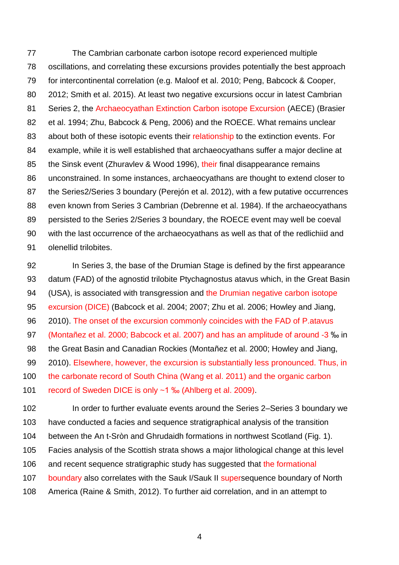The Cambrian carbonate carbon isotope record experienced multiple oscillations, and correlating these excursions provides potentially the best approach for intercontinental correlation (e.g. Maloof et al. 2010; Peng, Babcock & Cooper, 2012; Smith et al. 2015). At least two negative excursions occur in latest Cambrian Series 2, the Archaeocyathan Extinction Carbon isotope Excursion (AECE) (Brasier et al. 1994; Zhu, Babcock & Peng, 2006) and the ROECE. What remains unclear 83 about both of these isotopic events their relationship to the extinction events. For example, while it is well established that archaeocyathans suffer a major decline at 85 the Sinsk event (Zhuravlev & Wood 1996), their final disappearance remains unconstrained. In some instances, archaeocyathans are thought to extend closer to the Series2/Series 3 boundary (Perejón et al. 2012), with a few putative occurrences even known from Series 3 Cambrian (Debrenne et al. 1984). If the archaeocyathans persisted to the Series 2/Series 3 boundary, the ROECE event may well be coeval with the last occurrence of the archaeocyathans as well as that of the redlichiid and olenellid trilobites.

 In Series 3, the base of the Drumian Stage is defined by the first appearance datum (FAD) of the agnostid trilobite Ptychagnostus atavus which, in the Great Basin (USA), is associated with transgression and the Drumian negative carbon isotope excursion (DICE) (Babcock et al. 2004; 2007; Zhu et al. 2006; Howley and Jiang, 2010). The onset of the excursion commonly coincides with the FAD of P.atavus (Montañez et al. 2000; Babcock et al. 2007) and has an amplitude of around -3 ‰ in the Great Basin and Canadian Rockies (Montañez et al. 2000; Howley and Jiang, 2010). Elsewhere, however, the excursion is substantially less pronounced. Thus, in the carbonate record of South China (Wang et al. 2011) and the organic carbon 101 record of Sweden DICE is only ~1 ‰ (Ahlberg et al. 2009).

102 In order to further evaluate events around the Series 2–Series 3 boundary we have conducted a facies and sequence stratigraphical analysis of the transition between the An t-Sròn and Ghrudaidh formations in northwest Scotland (Fig. 1). Facies analysis of the Scottish strata shows a major lithological change at this level and recent sequence stratigraphic study has suggested that the formational 107 boundary also correlates with the Sauk I/Sauk II supersequence boundary of North America (Raine & Smith, 2012). To further aid correlation, and in an attempt to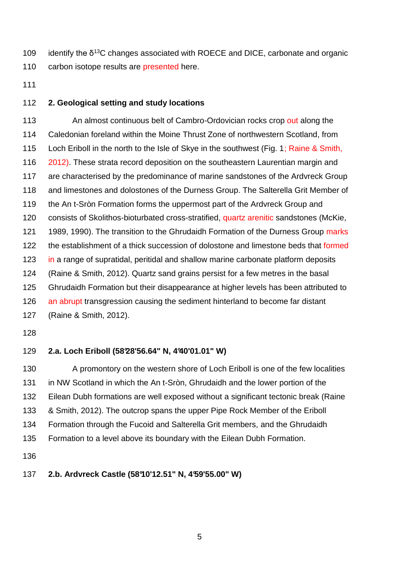109 identify the  $\delta^{13}$ C changes associated with ROECE and DICE, carbonate and organic 110 carbon isotope results are presented here.

## **2. Geological setting and study locations**

113 An almost continuous belt of Cambro-Ordovician rocks crop out along the Caledonian foreland within the Moine Thrust Zone of northwestern Scotland, from Loch Eriboll in the north to the Isle of Skye in the southwest (Fig. 1; Raine & Smith, 2012). These strata record deposition on the southeastern Laurentian margin and are characterised by the predominance of marine sandstones of the Ardvreck Group and limestones and dolostones of the Durness Group. The Salterella Grit Member of the An t-Sròn Formation forms the uppermost part of the Ardvreck Group and consists of Skolithos-bioturbated cross-stratified, quartz arenitic sandstones (McKie, 1989, 1990). The transition to the Ghrudaidh Formation of the Durness Group marks 122 the establishment of a thick succession of dolostone and limestone beds that formed 123 in a range of supratidal, peritidal and shallow marine carbonate platform deposits (Raine & Smith, 2012). Quartz sand grains persist for a few metres in the basal Ghrudaidh Formation but their disappearance at higher levels has been attributed to 126 an abrupt transgression causing the sediment hinterland to become far distant (Raine & Smith, 2012).

# **2.a. Loch Eriboll (58°28'56.64" N, 4°40'01.01" W)**

 A promontory on the western shore of Loch Eriboll is one of the few localities in NW Scotland in which the An t-Sròn, Ghrudaidh and the lower portion of the Eilean Dubh formations are well exposed without a significant tectonic break (Raine & Smith, 2012). The outcrop spans the upper Pipe Rock Member of the Eriboll Formation through the Fucoid and Salterella Grit members, and the Ghrudaidh Formation to a level above its boundary with the Eilean Dubh Formation.

# **2.b. Ardvreck Castle (58°10'12.51" N, 4°59'55.00" W)**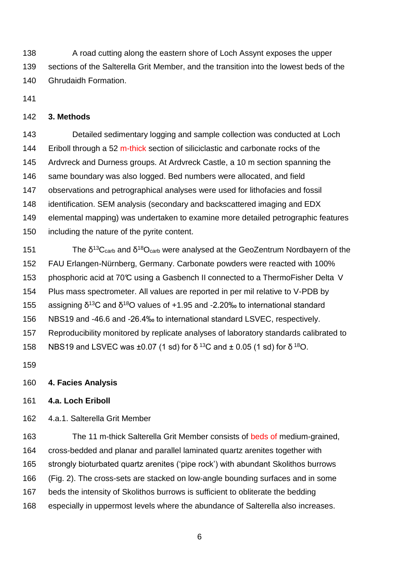138 A road cutting along the eastern shore of Loch Assynt exposes the upper sections of the Salterella Grit Member, and the transition into the lowest beds of the Ghrudaidh Formation.

## **3. Methods**

 Detailed sedimentary logging and sample collection was conducted at Loch 144 Eriboll through a 52 m-thick section of siliciclastic and carbonate rocks of the Ardvreck and Durness groups. At Ardvreck Castle, a 10 m section spanning the same boundary was also logged. Bed numbers were allocated, and field observations and petrographical analyses were used for lithofacies and fossil identification. SEM analysis (secondary and backscattered imaging and EDX elemental mapping) was undertaken to examine more detailed petrographic features including the nature of the pyrite content.

151 The  $\delta^{13}C_{\text{carb}}$  and  $\delta^{18}O_{\text{carb}}$  were analysed at the GeoZentrum Nordbayern of the FAU Erlangen-Nürnberg, Germany. Carbonate powders were reacted with 100% 153 phosphoric acid at 70°C using a Gasbench II connected to a ThermoFisher Delta V Plus mass spectrometer. All values are reported in per mil relative to V-PDB by 155 assigning  $\delta^{13}C$  and  $\delta^{18}O$  values of +1.95 and -2.20‰ to international standard NBS19 and -46.6 and -26.4‰ to international standard LSVEC, respectively. Reproducibility monitored by replicate analyses of laboratory standards calibrated to 158 NBS19 and LSVEC was  $\pm 0.07$  (1 sd) for  $\delta^{13}$ C and  $\pm$  0.05 (1 sd) for  $\delta^{18}$ O.

## **4. Facies Analysis**

## **4.a. Loch Eriboll**

4.a.1. Salterella Grit Member

 The 11 m-thick Salterella Grit Member consists of beds of medium-grained, cross-bedded and planar and parallel laminated quartz arenites together with strongly bioturbated quartz arenites ('pipe rock') with abundant Skolithos burrows (Fig. 2). The cross-sets are stacked on low-angle bounding surfaces and in some beds the intensity of Skolithos burrows is sufficient to obliterate the bedding especially in uppermost levels where the abundance of Salterella also increases.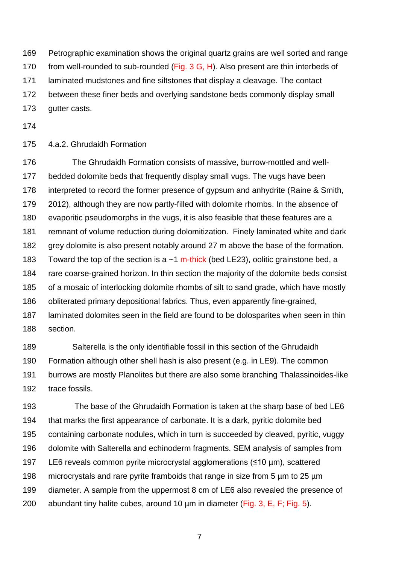Petrographic examination shows the original quartz grains are well sorted and range

170 from well-rounded to sub-rounded (Fig. 3 G, H). Also present are thin interbeds of

laminated mudstones and fine siltstones that display a cleavage. The contact

between these finer beds and overlying sandstone beds commonly display small

- gutter casts.
- 

# 4.a.2. Ghrudaidh Formation

 The Ghrudaidh Formation consists of massive, burrow-mottled and well- bedded dolomite beds that frequently display small vugs. The vugs have been interpreted to record the former presence of gypsum and anhydrite (Raine & Smith, 2012), although they are now partly-filled with dolomite rhombs. In the absence of evaporitic pseudomorphs in the vugs, it is also feasible that these features are a remnant of volume reduction during dolomitization. Finely laminated white and dark 182 grey dolomite is also present notably around 27 m above the base of the formation. 183 Toward the top of the section is a  $\sim$ 1 m-thick (bed LE23), oolitic grainstone bed, a rare coarse-grained horizon. In thin section the majority of the dolomite beds consist of a mosaic of interlocking dolomite rhombs of silt to sand grade, which have mostly obliterated primary depositional fabrics. Thus, even apparently fine-grained, laminated dolomites seen in the field are found to be dolosparites when seen in thin section.

 Salterella is the only identifiable fossil in this section of the Ghrudaidh Formation although other shell hash is also present (e.g. in LE9). The common burrows are mostly Planolites but there are also some branching Thalassinoides-like trace fossils.

193 The base of the Ghrudaidh Formation is taken at the sharp base of bed LE6 that marks the first appearance of carbonate. It is a dark, pyritic dolomite bed containing carbonate nodules, which in turn is succeeded by cleaved, pyritic, vuggy dolomite with Salterella and echinoderm fragments. SEM analysis of samples from LE6 reveals common pyrite microcrystal agglomerations (≤10 µm), scattered 198 microcrystals and rare pyrite framboids that range in size from 5 um to 25 um diameter. A sample from the uppermost 8 cm of LE6 also revealed the presence of 200 abundant tiny halite cubes, around 10 um in diameter (Fig. 3, E, F; Fig. 5).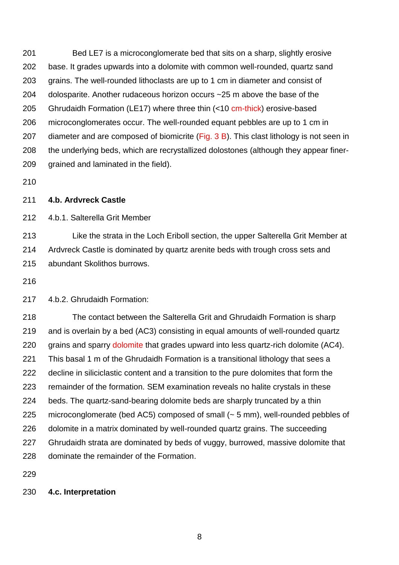Bed LE7 is a microconglomerate bed that sits on a sharp, slightly erosive base. It grades upwards into a dolomite with common well-rounded, quartz sand grains. The well-rounded lithoclasts are up to 1 cm in diameter and consist of dolosparite. Another rudaceous horizon occurs ~25 m above the base of the 205 Ghrudaidh Formation (LE17) where three thin (<10 cm-thick) erosive-based microconglomerates occur. The well-rounded equant pebbles are up to 1 cm in 207 diameter and are composed of biomicrite (Fig. B). This clast lithology is not seen in the underlying beds, which are recrystallized dolostones (although they appear finer-grained and laminated in the field).

## **4.b. Ardvreck Castle**

4.b.1. Salterella Grit Member

 Like the strata in the Loch Eriboll section, the upper Salterella Grit Member at Ardvreck Castle is dominated by quartz arenite beds with trough cross sets and abundant Skolithos burrows.

4.b.2. Ghrudaidh Formation:

 The contact between the Salterella Grit and Ghrudaidh Formation is sharp and is overlain by a bed (AC3) consisting in equal amounts of well-rounded quartz 220 grains and sparry dolomite that grades upward into less quartz-rich dolomite (AC4). This basal 1 m of the Ghrudaidh Formation is a transitional lithology that sees a decline in siliciclastic content and a transition to the pure dolomites that form the remainder of the formation. SEM examination reveals no halite crystals in these beds. The quartz-sand-bearing dolomite beds are sharply truncated by a thin microconglomerate (bed AC5) composed of small (~ 5 mm), well-rounded pebbles of dolomite in a matrix dominated by well-rounded quartz grains. The succeeding Ghrudaidh strata are dominated by beds of vuggy, burrowed, massive dolomite that dominate the remainder of the Formation.

**4.c. Interpretation**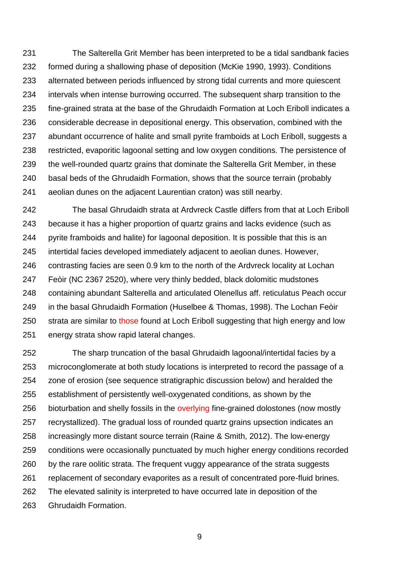The Salterella Grit Member has been interpreted to be a tidal sandbank facies formed during a shallowing phase of deposition (McKie 1990, 1993). Conditions alternated between periods influenced by strong tidal currents and more quiescent intervals when intense burrowing occurred. The subsequent sharp transition to the fine-grained strata at the base of the Ghrudaidh Formation at Loch Eriboll indicates a considerable decrease in depositional energy. This observation, combined with the abundant occurrence of halite and small pyrite framboids at Loch Eriboll, suggests a restricted, evaporitic lagoonal setting and low oxygen conditions. The persistence of the well-rounded quartz grains that dominate the Salterella Grit Member, in these basal beds of the Ghrudaidh Formation, shows that the source terrain (probably aeolian dunes on the adjacent Laurentian craton) was still nearby.

 The basal Ghrudaidh strata at Ardvreck Castle differs from that at Loch Eriboll because it has a higher proportion of quartz grains and lacks evidence (such as pyrite framboids and halite) for lagoonal deposition. It is possible that this is an intertidal facies developed immediately adjacent to aeolian dunes. However, contrasting facies are seen 0.9 km to the north of the Ardvreck locality at Lochan Feòir (NC 2367 2520), where very thinly bedded, black dolomitic mudstones containing abundant Salterella and articulated Olenellus aff. reticulatus Peach occur in the basal Ghrudaidh Formation (Huselbee & Thomas, 1998). The Lochan Feòir 250 strata are similar to those found at Loch Eriboll suggesting that high energy and low energy strata show rapid lateral changes.

 The sharp truncation of the basal Ghrudaidh lagoonal/intertidal facies by a microconglomerate at both study locations is interpreted to record the passage of a zone of erosion (see sequence stratigraphic discussion below) and heralded the establishment of persistently well-oxygenated conditions, as shown by the 256 bioturbation and shelly fossils in the overlying fine-grained dolostones (now mostly recrystallized). The gradual loss of rounded quartz grains upsection indicates an increasingly more distant source terrain (Raine & Smith, 2012). The low-energy conditions were occasionally punctuated by much higher energy conditions recorded by the rare oolitic strata. The frequent vuggy appearance of the strata suggests replacement of secondary evaporites as a result of concentrated pore-fluid brines. The elevated salinity is interpreted to have occurred late in deposition of the Ghrudaidh Formation.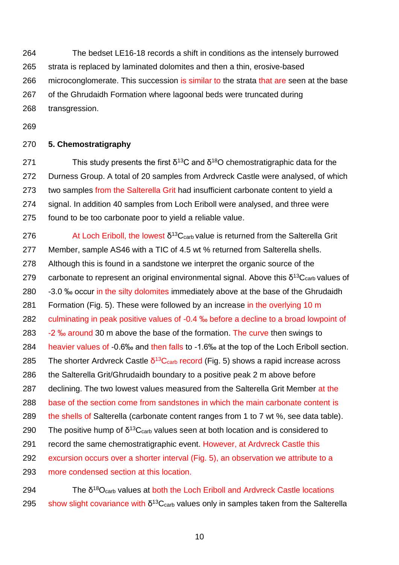264 The bedset LE16-18 records a shift in conditions as the intensely burrowed 265 strata is replaced by laminated dolomites and then a thin, erosive-based 266 microconglomerate. This succession is similar to the strata that are seen at the base 267 of the Ghrudaidh Formation where lagoonal beds were truncated during 268 transgression.

269

## 270 **5. Chemostratigraphy**

271 This study presents the first  $\delta^{13}$ C and  $\delta^{18}$ O chemostratigraphic data for the 272 Durness Group. A total of 20 samples from Ardvreck Castle were analysed, of which 273 two samples from the Salterella Grit had insufficient carbonate content to vield a 274 signal. In addition 40 samples from Loch Eriboll were analysed, and three were 275 found to be too carbonate poor to yield a reliable value.

276 At Loch Eriboll, the lowest  $\delta^{13}C_{\text{carb}}$  value is returned from the Salterella Grit 277 Member, sample AS46 with a TIC of 4.5 wt % returned from Salterella shells. 278 Although this is found in a sandstone we interpret the organic source of the 279 carbonate to represent an original environmental signal. Above this  $\delta^{13}C_{\text{carb}}$  values of 280 -3.0 % occur in the silty dolomites immediately above at the base of the Ghrudaidh 281 Formation (Fig. 5). These were followed by an increase in the overlying 10 m 282 culminating in peak positive values of -0.4 ‰ before a decline to a broad lowpoint of 283 -2 ‰ around 30 m above the base of the formation. The curve then swings to 284 heavier values of -0.6‰ and then falls to -1.6‰ at the top of the Loch Eriboll section. 285 The shorter Ardvreck Castle  $\delta^{13}$ C<sub>carb</sub> record (Fig. 5) shows a rapid increase across 286 the Salterella Grit/Ghrudaidh boundary to a positive peak 2 m above before 287 declining. The two lowest values measured from the Salterella Grit Member at the 288 base of the section come from sandstones in which the main carbonate content is 289 the shells of Salterella (carbonate content ranges from 1 to 7 wt %, see data table). 290 The positive hump of  $\delta^{13}C_{\text{carb}}$  values seen at both location and is considered to 291 record the same chemostratigraphic event. However, at Ardvreck Castle this 292 excursion occurs over a shorter interval (Fig. 5), an observation we attribute to a 293 more condensed section at this location.

294 180 180 180 The  $\delta^{18}O_{\text{carb}}$  values at both the Loch Eriboll and Ardvreck Castle locations 295 show slight covariance with  $\delta^{13}C_{\text{carb}}$  values only in samples taken from the Salterella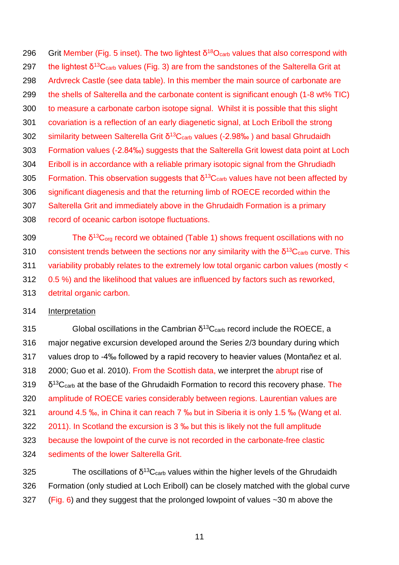296 Grit Member (Fig. 5 inset). The two lightest  $\delta^{18}O_{\text{carb}}$  values that also correspond with 297 the lightest  $\delta$ <sup>13</sup>C<sub>carb</sub> values (Fig. 3) are from the sandstones of the Salterella Grit at Ardvreck Castle (see data table). In this member the main source of carbonate are the shells of Salterella and the carbonate content is significant enough (1-8 wt% TIC) to measure a carbonate carbon isotope signal. Whilst it is possible that this slight covariation is a reflection of an early diagenetic signal, at Loch Eriboll the strong 302 similarity between Salterella Grit  $\delta$ <sup>13</sup>C<sub>carb</sub> values (-2.98‰) and basal Ghrudaidh Formation values (-2.84‰) suggests that the Salterella Grit lowest data point at Loch Eriboll is in accordance with a reliable primary isotopic signal from the Ghrudiadh 305 Formation. This observation suggests that  $\delta^{13}C_{\text{carb}}$  values have not been affected by significant diagenesis and that the returning limb of ROECE recorded within the Salterella Grit and immediately above in the Ghrudaidh Formation is a primary record of oceanic carbon isotope fluctuations.

309 13Corg record we obtained (Table 1) shows frequent oscillations with no 310 consistent trends between the sections nor any similarity with the  $\delta^{13}C_{\text{carb}}$  curve. This 311 variability probably relates to the extremely low total organic carbon values (mostly < 0.5 %) and the likelihood that values are influenced by factors such as reworked, detrital organic carbon.

#### 314 Interpretation

315 Global oscillations in the Cambrian  $\delta^{13}$ C<sub>carb</sub> record include the ROECE, a major negative excursion developed around the Series 2/3 boundary during which values drop to -4‰ followed by a rapid recovery to heavier values (Montañez et al. 2000; Guo et al. 2010). From the Scottish data, we interpret the abrupt rise of  $\delta^{13}$ C<sub>carb</sub> at the base of the Ghrudaidh Formation to record this recovery phase. The amplitude of ROECE varies considerably between regions. Laurentian values are around 4.5 ‰, in China it can reach 7 ‰ but in Siberia it is only 1.5 ‰ (Wang et al. 2011). In Scotland the excursion is 3 ‰ but this is likely not the full amplitude because the lowpoint of the curve is not recorded in the carbonate-free clastic sediments of the lower Salterella Grit.

325 The oscillations of  $\delta^{13}C_{\text{carb}}$  values within the higher levels of the Ghrudaidh Formation (only studied at Loch Eriboll) can be closely matched with the global curve 327 (Fig. 6) and they suggest that the prolonged lowpoint of values  $\sim$  30 m above the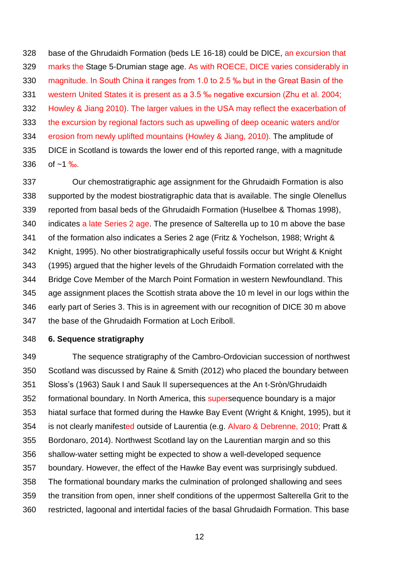base of the Ghrudaidh Formation (beds LE 16-18) could be DICE, an excursion that marks the Stage 5-Drumian stage age. As with ROECE, DICE varies considerably in magnitude. In South China it ranges from 1.0 to 2.5 ‰ but in the Great Basin of the western United States it is present as a 3.5 ‰ negative excursion (Zhu et al. 2004; Howley & Jiang 2010). The larger values in the USA may reflect the exacerbation of the excursion by regional factors such as upwelling of deep oceanic waters and/or erosion from newly uplifted mountains (Howley & Jiang, 2010). The amplitude of DICE in Scotland is towards the lower end of this reported range, with a magnitude 336 of  $~1\%$ .

 Our chemostratigraphic age assignment for the Ghrudaidh Formation is also supported by the modest biostratigraphic data that is available. The single Olenellus reported from basal beds of the Ghrudaidh Formation (Huselbee & Thomas 1998), 340 indicates a late Series 2 age. The presence of Salterella up to 10 m above the base of the formation also indicates a Series 2 age (Fritz & Yochelson, 1988; Wright & Knight, 1995). No other biostratigraphically useful fossils occur but Wright & Knight (1995) argued that the higher levels of the Ghrudaidh Formation correlated with the Bridge Cove Member of the March Point Formation in western Newfoundland. This age assignment places the Scottish strata above the 10 m level in our logs within the early part of Series 3. This is in agreement with our recognition of DICE 30 m above the base of the Ghrudaidh Formation at Loch Eriboll.

#### **6. Sequence stratigraphy**

 The sequence stratigraphy of the Cambro-Ordovician succession of northwest Scotland was discussed by Raine & Smith (2012) who placed the boundary between Sloss's (1963) Sauk I and Sauk II supersequences at the An t-Sròn/Ghrudaidh 352 formational boundary. In North America, this supersequence boundary is a major hiatal surface that formed during the Hawke Bay Event (Wright & Knight, 1995), but it is not clearly manifested outside of Laurentia (e.g. Alvaro & Debrenne, 2010; Pratt & Bordonaro, 2014). Northwest Scotland lay on the Laurentian margin and so this shallow-water setting might be expected to show a well-developed sequence boundary. However, the effect of the Hawke Bay event was surprisingly subdued. The formational boundary marks the culmination of prolonged shallowing and sees the transition from open, inner shelf conditions of the uppermost Salterella Grit to the restricted, lagoonal and intertidal facies of the basal Ghrudaidh Formation. This base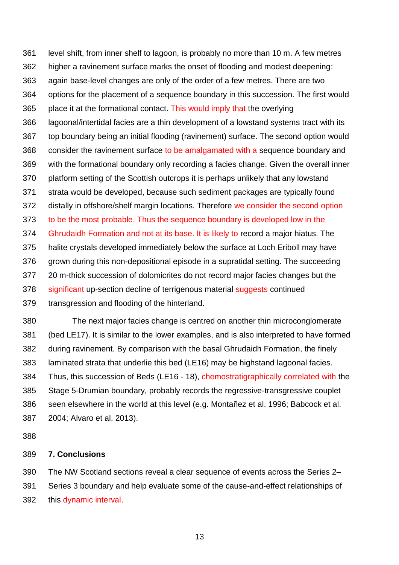level shift, from inner shelf to lagoon, is probably no more than 10 m. A few metres higher a ravinement surface marks the onset of flooding and modest deepening: again base-level changes are only of the order of a few metres. There are two options for the placement of a sequence boundary in this succession. The first would place it at the formational contact. This would imply that the overlying lagoonal/intertidal facies are a thin development of a lowstand systems tract with its top boundary being an initial flooding (ravinement) surface. The second option would 368 consider the ravinement surface to be amalgamated with a sequence boundary and with the formational boundary only recording a facies change. Given the overall inner platform setting of the Scottish outcrops it is perhaps unlikely that any lowstand strata would be developed, because such sediment packages are typically found 372 distally in offshore/shelf margin locations. Therefore we consider the second option to be the most probable. Thus the sequence boundary is developed low in the Ghrudaidh Formation and not at its base. It is likely to record a major hiatus. The halite crystals developed immediately below the surface at Loch Eriboll may have grown during this non-depositional episode in a supratidal setting. The succeeding 20 m-thick succession of dolomicrites do not record major facies changes but the 378 significant up-section decline of terrigenous material suggests continued transgression and flooding of the hinterland.

380 The next major facies change is centred on another thin microconglomerate (bed LE17). It is similar to the lower examples, and is also interpreted to have formed during ravinement. By comparison with the basal Ghrudaidh Formation, the finely laminated strata that underlie this bed (LE16) may be highstand lagoonal facies. Thus, this succession of Beds (LE16 - 18), chemostratigraphically correlated with the Stage 5-Drumian boundary, probably records the regressive-transgressive couplet seen elsewhere in the world at this level (e.g. Montañez et al. 1996; Babcock et al. 2004; Alvaro et al. 2013).

## **7. Conclusions**

 The NW Scotland sections reveal a clear sequence of events across the Series 2– Series 3 boundary and help evaluate some of the cause-and-effect relationships of this dynamic interval.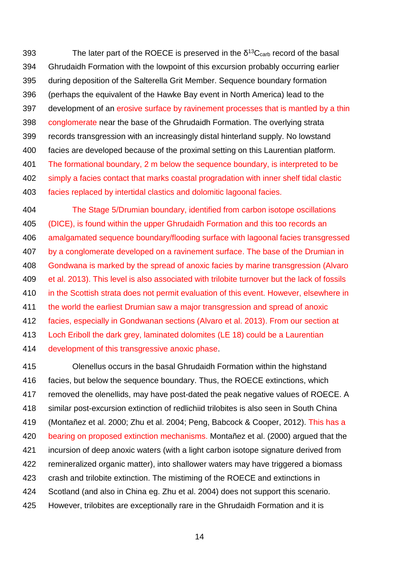393 The later part of the ROECE is preserved in the  $\delta^{13}C_{\text{carb}}$  record of the basal Ghrudaidh Formation with the lowpoint of this excursion probably occurring earlier during deposition of the Salterella Grit Member. Sequence boundary formation (perhaps the equivalent of the Hawke Bay event in North America) lead to the development of an erosive surface by ravinement processes that is mantled by a thin conglomerate near the base of the Ghrudaidh Formation. The overlying strata records transgression with an increasingly distal hinterland supply. No lowstand facies are developed because of the proximal setting on this Laurentian platform. The formational boundary, 2 m below the sequence boundary, is interpreted to be simply a facies contact that marks coastal progradation with inner shelf tidal clastic facies replaced by intertidal clastics and dolomitic lagoonal facies.

 The Stage 5/Drumian boundary, identified from carbon isotope oscillations (DICE), is found within the upper Ghrudaidh Formation and this too records an amalgamated sequence boundary/flooding surface with lagoonal facies transgressed by a conglomerate developed on a ravinement surface. The base of the Drumian in Gondwana is marked by the spread of anoxic facies by marine transgression (Alvaro et al. 2013). This level is also associated with trilobite turnover but the lack of fossils in the Scottish strata does not permit evaluation of this event. However, elsewhere in the world the earliest Drumian saw a major transgression and spread of anoxic facies, especially in Gondwanan sections (Alvaro et al. 2013). From our section at Loch Eriboll the dark grey, laminated dolomites (LE 18) could be a Laurentian development of this transgressive anoxic phase.

415 Olenellus occurs in the basal Ghrudaidh Formation within the highstand facies, but below the sequence boundary. Thus, the ROECE extinctions, which removed the olenellids, may have post-dated the peak negative values of ROECE. A similar post-excursion extinction of redlichiid trilobites is also seen in South China (Montañez et al. 2000; Zhu et al. 2004; Peng, Babcock & Cooper, 2012). This has a bearing on proposed extinction mechanisms. Montañez et al. (2000) argued that the incursion of deep anoxic waters (with a light carbon isotope signature derived from remineralized organic matter), into shallower waters may have triggered a biomass crash and trilobite extinction. The mistiming of the ROECE and extinctions in Scotland (and also in China eg. Zhu et al. 2004) does not support this scenario. However, trilobites are exceptionally rare in the Ghrudaidh Formation and it is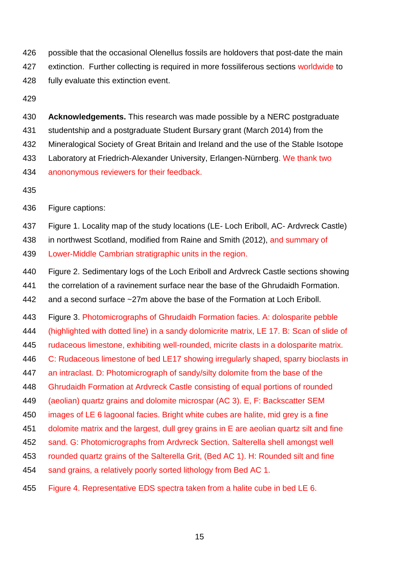possible that the occasional Olenellus fossils are holdovers that post-date the main 427 extinction. Further collecting is required in more fossiliferous sections worldwide to fully evaluate this extinction event.

 **Acknowledgements.** This research was made possible by a NERC postgraduate studentship and a postgraduate Student Bursary grant (March 2014) from the Mineralogical Society of Great Britain and Ireland and the use of the Stable Isotope Laboratory at Friedrich-Alexander University, Erlangen-Nürnberg. We thank two anononymous reviewers for their feedback.

Figure captions:

Figure 1. Locality map of the study locations (LE- Loch Eriboll, AC- Ardvreck Castle)

 in northwest Scotland, modified from Raine and Smith (2012), and summary of Lower-Middle Cambrian stratigraphic units in the region.

Figure 2. Sedimentary logs of the Loch Eriboll and Ardvreck Castle sections showing

the correlation of a ravinement surface near the base of the Ghrudaidh Formation.

and a second surface ~27m above the base of the Formation at Loch Eriboll.

Figure 3. Photomicrographs of Ghrudaidh Formation facies. A: dolosparite pebble

(highlighted with dotted line) in a sandy dolomicrite matrix, LE 17. B: Scan of slide of

rudaceous limestone, exhibiting well-rounded, micrite clasts in a dolosparite matrix.

446 C: Rudaceous limestone of bed LE17 showing irregularly shaped, sparry bioclasts in

an intraclast. D: Photomicrograph of sandy/silty dolomite from the base of the

Ghrudaidh Formation at Ardvreck Castle consisting of equal portions of rounded

(aeolian) quartz grains and dolomite microspar (AC 3). E, F: Backscatter SEM

images of LE 6 lagoonal facies. Bright white cubes are halite, mid grey is a fine

dolomite matrix and the largest, dull grey grains in E are aeolian quartz silt and fine

sand. G: Photomicrographs from Ardvreck Section. Salterella shell amongst well

rounded quartz grains of the Salterella Grit, (Bed AC 1). H: Rounded silt and fine

sand grains, a relatively poorly sorted lithology from Bed AC 1.

Figure 4. Representative EDS spectra taken from a halite cube in bed LE 6.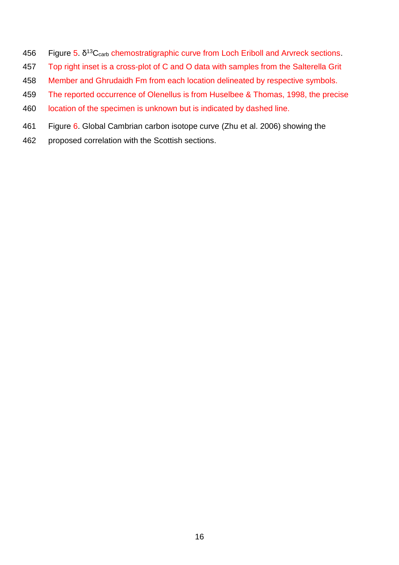- 456 Figure 5.  $\delta^{13}C_{\text{carb}}$  chemostratigraphic curve from Loch Eriboll and Arvreck sections.
- Top right inset is a cross-plot of C and O data with samples from the Salterella Grit
- Member and Ghrudaidh Fm from each location delineated by respective symbols.
- The reported occurrence of Olenellus is from Huselbee & Thomas, 1998, the precise
- location of the specimen is unknown but is indicated by dashed line.
- Figure 6. Global Cambrian carbon isotope curve (Zhu et al. 2006) showing the
- proposed correlation with the Scottish sections.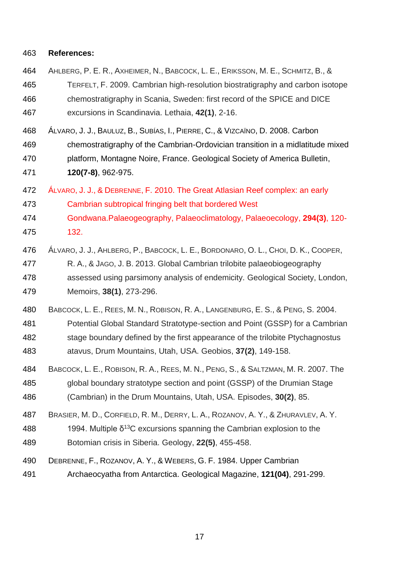#### **References:**

- AHLBERG, P. E. R., AXHEIMER, N., BABCOCK, L. E., ERIKSSON, M. E., SCHMITZ, B., & 465 TERFELT, F. 2009. Cambrian high-resolution biostratigraphy and carbon isotope chemostratigraphy in Scania, Sweden: first record of the SPICE and DICE excursions in Scandinavia. Lethaia, **42(1)**, 2-16.
- ÁLVARO, J. J., BAULUZ, B., SUBÍAS, I., PIERRE, C., & VIZCAÏNO, D. 2008. Carbon chemostratigraphy of the Cambrian-Ordovician transition in a midlatitude mixed platform, Montagne Noire, France. Geological Society of America Bulletin, **120(7-8)**, 962-975.
- ÁLVARO, J. J., & DEBRENNE, F. 2010. The Great Atlasian Reef complex: an early
- Cambrian subtropical fringing belt that bordered West
- Gondwana.Palaeogeography, Palaeoclimatology, Palaeoecology, **294(3)**, 120- 132.
- ÁLVARO, J. J., AHLBERG, P., BABCOCK, L. E., BORDONARO, O. L., CHOI, D. K., COOPER, R. A., & JAGO, J. B. 2013. Global Cambrian trilobite palaeobiogeography assessed using parsimony analysis of endemicity. Geological Society, London, Memoirs, **38(1)**, 273-296.
- BABCOCK, L. E., REES, M. N., ROBISON, R. A., LANGENBURG, E. S., & PENG, S. 2004.
- Potential Global Standard Stratotype-section and Point (GSSP) for a Cambrian stage boundary defined by the first appearance of the trilobite Ptychagnostus atavus, Drum Mountains, Utah, USA. Geobios, **37(2)**, 149-158.
- BABCOCK, L. E., ROBISON, R. A., REES, M. N., PENG, S., & SALTZMAN, M. R. 2007. The global boundary stratotype section and point (GSSP) of the Drumian Stage (Cambrian) in the Drum Mountains, Utah, USA. Episodes, **30(2)**, 85.
- BRASIER, M. D., CORFIELD, R. M., DERRY, L. A., ROZANOV, A. Y., & ZHURAVLEV, A. Y.
- 488 1994. Multiple  $\delta^{13}$ C excursions spanning the Cambrian explosion to the
- Botomian crisis in Siberia. Geology, **22(5)**, 455-458.
- DEBRENNE, F., ROZANOV, A. Y., & WEBERS, G. F. 1984. Upper Cambrian
- Archaeocyatha from Antarctica. Geological Magazine, **121(04)**, 291-299.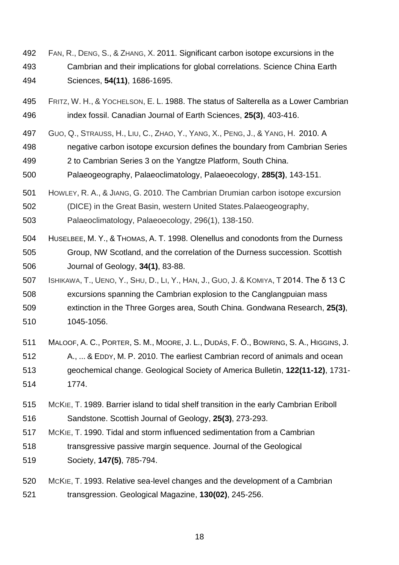- FAN, R., DENG, S., & ZHANG, X. 2011. Significant carbon isotope excursions in the Cambrian and their implications for global correlations. Science China Earth Sciences, **54(11)**, 1686-1695.
- FRITZ, W. H., & YOCHELSON, E. L. 1988. The status of Salterella as a Lower Cambrian index fossil. Canadian Journal of Earth Sciences, **25(3)**, 403-416.
- GUO, Q., STRAUSS, H., LIU, C., ZHAO, Y., YANG, X., PENG, J., & YANG, H. 2010. A
- negative carbon isotope excursion defines the boundary from Cambrian Series
- 2 to Cambrian Series 3 on the Yangtze Platform, South China.
- Palaeogeography, Palaeoclimatology, Palaeoecology, **285(3)**, 143-151.
- HOWLEY, R. A., & JIANG, G. 2010. The Cambrian Drumian carbon isotope excursion
- (DICE) in the Great Basin, western United States.Palaeogeography,

Palaeoclimatology, Palaeoecology, 296(1), 138-150.

- HUSELBEE, M. Y., & THOMAS, A. T. 1998. Olenellus and conodonts from the Durness Group, NW Scotland, and the correlation of the Durness succession. Scottish Journal of Geology, **34(1)**, 83-88.
- 507 ISHIKAWA, T., UENO, Y., SHU, D., LI, Y., HAN, J., GUO, J. & KOMIYA, T 2014. The  $\delta$  13 C excursions spanning the Cambrian explosion to the Canglangpuian mass extinction in the Three Gorges area, South China. Gondwana Research, **25(3)**, 1045-1056.
- MALOOF, A. C., PORTER, S. M., MOORE, J. L., DUDÁS, F. Ö., BOWRING, S. A., HIGGINS, J.
- A., ... & EDDY, M. P. 2010. The earliest Cambrian record of animals and ocean geochemical change. Geological Society of America Bulletin, **122(11-12)**, 1731- 1774.
- MCKIE, T. 1989. Barrier island to tidal shelf transition in the early Cambrian Eriboll Sandstone. Scottish Journal of Geology, **25(3)**, 273-293.
- MCKIE, T. 1990. Tidal and storm influenced sedimentation from a Cambrian
- transgressive passive margin sequence. Journal of the Geological
- Society, **147(5)**, 785-794.
- MCKIE, T. 1993. Relative sea-level changes and the development of a Cambrian transgression. Geological Magazine, **130(02)**, 245-256.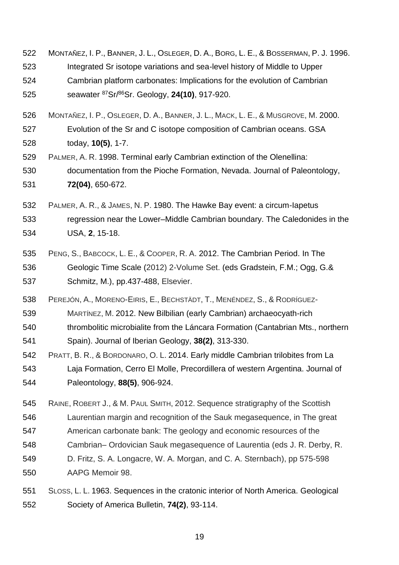- MONTAÑEZ, I. P., BANNER, J. L., OSLEGER, D. A., BORG, L. E., & BOSSERMAN, P. J. 1996. Integrated Sr isotope variations and sea-level history of Middle to Upper Cambrian platform carbonates: Implications for the evolution of Cambrian 525 seawater <sup>87</sup>Sr/<sup>86</sup>Sr. Geology, **24(10)**, 917-920.
- MONTAÑEZ, I. P., OSLEGER, D. A., BANNER, J. L., MACK, L. E., & MUSGROVE, M. 2000. Evolution of the Sr and C isotope composition of Cambrian oceans. GSA today, **10(5)**, 1-7.
- PALMER, A. R. 1998. Terminal early Cambrian extinction of the Olenellina: documentation from the Pioche Formation, Nevada. Journal of Paleontology, **72(04)**, 650-672.
- PALMER, A. R., & JAMES, N. P. 1980. The Hawke Bay event: a circum-Iapetus regression near the Lower–Middle Cambrian boundary. The Caledonides in the USA, **2**, 15-18.
- PENG, S., BABCOCK, L. E., & COOPER, R. A. 2012. The Cambrian Period. In The Geologic Time Scale (2012) 2-Volume Set. (eds Gradstein, F.M.; Ogg, G.& Schmitz, M.), pp.437-488, Elsevier.
- PEREJÓN, A., MORENO-EIRIS, E., BECHSTÄDT, T., MENÉNDEZ, S., & RODRÍGUEZ-
- MARTÍNEZ, M. 2012. New Bilbilian (early Cambrian) archaeocyath-rich
- thrombolitic microbialite from the Láncara Formation (Cantabrian Mts., northern
- Spain). Journal of Iberian Geology, **38(2)**, 313-330.
- PRATT, B. R., & BORDONARO, O. L. 2014. Early middle Cambrian trilobites from La Laja Formation, Cerro El Molle, Precordillera of western Argentina. Journal of Paleontology, **88(5)**, 906-924.
- RAINE, ROBERT J., & M. PAUL SMITH, 2012. Sequence stratigraphy of the Scottish
- Laurentian margin and recognition of the Sauk megasequence, in The great
- American carbonate bank: The geology and economic resources of the
- Cambrian*–* Ordovician Sauk megasequence of Laurentia (eds J. R. Derby, R.
- D. Fritz, S. A. Longacre, W. A. Morgan, and C. A. Sternbach), pp 575-598 AAPG Memoir 98.
- SLOSS, L. L. 1963. Sequences in the cratonic interior of North America. Geological Society of America Bulletin, **74(2)**, 93-114.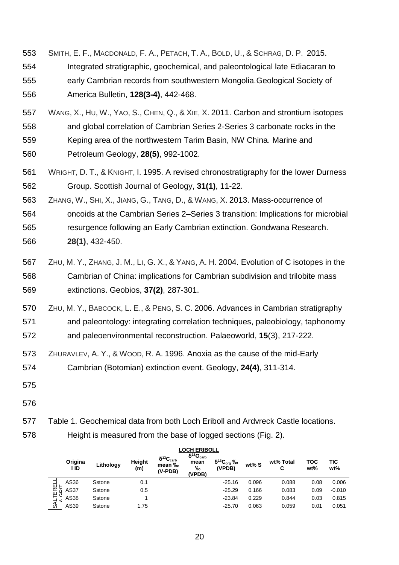SMITH, E. F., MACDONALD, F. A., PETACH, T. A., BOLD, U., & SCHRAG, D. P. 2015. Integrated stratigraphic, geochemical, and paleontological late Ediacaran to early Cambrian records from southwestern Mongolia.Geological Society of America Bulletin, **128(3-4)**, 442-468.

 WANG, X., HU, W., YAO, S., CHEN, Q., & XIE, X. 2011. Carbon and strontium isotopes and global correlation of Cambrian Series 2-Series 3 carbonate rocks in the Keping area of the northwestern Tarim Basin, NW China. Marine and Petroleum Geology, **28(5)**, 992-1002.

- 561 WRIGHT, D. T., & KNIGHT, I. 1995. A revised chronostratigraphy for the lower Durness 562 Group. Scottish Journal of Geology, **31(1)**, 11-22.
- 563 ZHANG, W., SHI, X., JIANG, G., TANG, D., & WANG, X. 2013. Mass-occurrence of

564 oncoids at the Cambrian Series 2–Series 3 transition: Implications for microbial 565 resurgence following an Early Cambrian extinction. Gondwana Research. 566 **28(1)**, 432-450.

- 567 ZHU, M. Y., ZHANG, J. M., LI, G. X., & YANG, A. H. 2004. Evolution of C isotopes in the 568 Cambrian of China: implications for Cambrian subdivision and trilobite mass 569 extinctions. Geobios, **37(2)**, 287-301.
- 570 ZHU, M. Y., BABCOCK, L. E., & PENG, S. C. 2006. Advances in Cambrian stratigraphy 571 and paleontology: integrating correlation techniques, paleobiology, taphonomy
- 572 and paleoenvironmental reconstruction. Palaeoworld, **15**(3), 217-222.
- 573 ZHURAVLEV, A. Y., & WOOD, R. A. 1996. Anoxia as the cause of the mid-Early 574 Cambrian (Botomian) extinction event. Geology, **24(4)**, 311-314.
- 575
- 576

577 Table 1. Geochemical data from both Loch Eriboll and Ardvreck Castle locations.

578 Height is measured from the base of logged sections (Fig. 2).

|                                       | <b>LOCH ERIBOLL</b> |           |               |                                                     |                                                     |                                  |       |                |            |            |
|---------------------------------------|---------------------|-----------|---------------|-----------------------------------------------------|-----------------------------------------------------|----------------------------------|-------|----------------|------------|------------|
|                                       | Origina<br>I ID     | Lithology | Height<br>(m) | $\delta^{13}C_{\text{carb}}$<br>mean ‰<br>$(V-POB)$ | $\delta^{18}O_{\text{carb}}$<br>mean<br>‰<br>(VPDB) | $\delta^{13}C_{org}$ ‰<br>(VPDB) | wt% S | wt% Total<br>C | тос<br>wt% | TIC<br>wt% |
| TERE<br>CRIT<br>$\alpha$<br><b>AL</b> | AS36                | Sstone    | 0.1           |                                                     |                                                     | $-25.16$                         | 0.096 | 0.088          | 0.08       | 0.006      |
|                                       | AS37                | Sstone    | 0.5           |                                                     |                                                     | $-25.29$                         | 0.166 | 0.083          | 0.09       | $-0.010$   |
|                                       | AS38                | Sstone    |               |                                                     |                                                     | $-23.84$                         | 0.229 | 0.844          | 0.03       | 0.815      |
|                                       | AS39                | Sstone    | 1.75          |                                                     |                                                     | $-25.70$                         | 0.063 | 0.059          | 0.01       | 0.051      |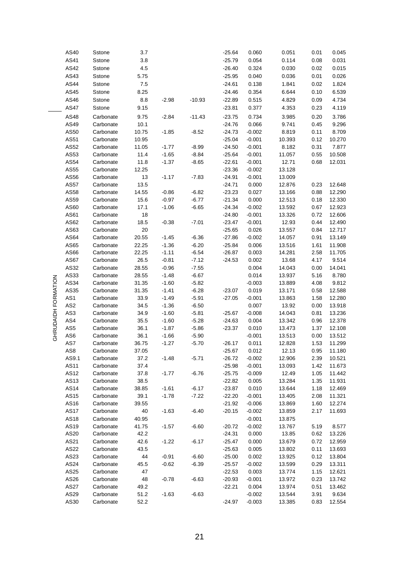|                     | AS40            | Sstone                 | 3.7     |         |          | $-25.64$ | 0.060    | 0.051  | 0.01 | 0.045  |
|---------------------|-----------------|------------------------|---------|---------|----------|----------|----------|--------|------|--------|
|                     | AS41            | Sstone                 | $3.8\,$ |         |          | $-25.79$ | 0.054    | 0.114  | 0.08 | 0.031  |
|                     | AS42            |                        | 4.5     |         |          | $-26.40$ | 0.324    | 0.030  | 0.02 | 0.015  |
|                     |                 | Sstone                 |         |         |          |          |          |        |      |        |
|                     | AS43            | Sstone                 | 5.75    |         |          | $-25.95$ | 0.040    | 0.036  | 0.01 | 0.026  |
|                     | AS44            | Sstone                 | 7.5     |         |          | $-24.61$ | 0.138    | 1.841  | 0.02 | 1.824  |
|                     | AS45            | Sstone                 | 8.25    |         |          | $-24.46$ | 0.354    | 6.644  | 0.10 | 6.539  |
|                     | AS46            | Sstone                 | 8.8     | $-2.98$ | $-10.93$ | $-22.89$ | 0.515    | 4.829  | 0.09 | 4.734  |
|                     | <b>AS47</b>     | Sstone                 | 9.15    |         |          | $-23.81$ | 0.377    | 4.353  | 0.23 | 4.119  |
|                     | AS48            | Carbonate              | 9.75    | $-2.84$ | $-11.43$ | $-23.75$ | 0.734    | 3.985  | 0.20 | 3.786  |
|                     | AS49            | Carbonate              | 10.1    |         |          | $-24.76$ | 0.066    | 9.741  | 0.45 | 9.296  |
|                     | AS50            | Carbonate              | 10.75   | $-1.85$ | $-8.52$  | $-24.73$ | $-0.002$ | 8.819  | 0.11 | 8.709  |
|                     | AS51            | Carbonate              | 10.95   |         |          | $-25.04$ | $-0.001$ | 10.393 | 0.12 | 10.270 |
|                     | AS52            | Carbonate              | 11.05   | $-1.77$ | $-8.99$  | $-24.50$ | $-0.001$ | 8.182  | 0.31 | 7.877  |
|                     | AS53            | Carbonate              | 11.4    | $-1.65$ | -8.84    | $-25.64$ | $-0.001$ | 11.057 | 0.55 | 10.508 |
|                     | AS54            | Carbonate              | 11.8    | $-1.37$ | $-8.65$  | $-22.61$ | $-0.001$ | 12.71  | 0.68 | 12.031 |
|                     | AS55            | Carbonate              | 12.25   |         |          | $-23.36$ | $-0.002$ | 13.128 |      |        |
|                     | AS56            | Carbonate              | 13      | $-1.17$ | $-7.83$  | $-24.91$ | $-0.001$ | 13.009 |      |        |
|                     | AS57            | Carbonate              | 13.5    |         |          | $-24.71$ | 0.000    | 12.876 | 0.23 | 12.648 |
|                     | AS58            | Carbonate              | 14.55   | $-0.86$ | $-6.82$  | $-23.23$ | 0.027    | 13.166 | 0.88 | 12.290 |
|                     | AS59            | Carbonate              | 15.6    | $-0.97$ | $-6.77$  | $-21.34$ | 0.000    | 12.513 | 0.18 | 12.330 |
|                     | AS60            | Carbonate              | 17.1    | $-1.06$ | $-6.65$  | $-24.34$ | $-0.002$ | 13.592 | 0.67 | 12.923 |
|                     | AS61            |                        | 18      |         |          | $-24.80$ | $-0.001$ | 13.326 | 0.72 |        |
|                     |                 | Carbonate<br>Carbonate |         |         |          |          |          |        |      | 12.606 |
|                     | AS62            |                        | 18.5    | $-0.38$ | $-7.01$  | $-23.47$ | $-0.001$ | 12.93  | 0.44 | 12.490 |
|                     | AS63            | Carbonate              | 20      |         |          | $-25.65$ | 0.026    | 13.557 | 0.84 | 12.717 |
|                     | AS64            | Carbonate              | 20.55   | $-1.45$ | $-6.36$  | $-27.86$ | $-0.002$ | 14.057 | 0.91 | 13.149 |
|                     | AS65            | Carbonate              | 22.25   | $-1.36$ | $-6.20$  | $-25.84$ | 0.006    | 13.516 | 1.61 | 11.908 |
|                     | AS66            | Carbonate              | 22.25   | $-1.11$ | $-6.54$  | $-26.87$ | 0.003    | 14.281 | 2.58 | 11.705 |
|                     | AS67            | Carbonate              | 26.5    | $-0.81$ | $-7.12$  | $-24.53$ | 0.002    | 13.68  | 4.17 | 9.514  |
|                     | AS32            | Carbonate              | 28.55   | $-0.96$ | $-7.55$  |          | 0.004    | 14.043 | 0.00 | 14.041 |
|                     | AS33            | Carbonate              | 28.55   | $-1.48$ | $-6.67$  |          | 0.014    | 13.937 | 5.16 | 8.780  |
|                     | AS34            | Carbonate              | 31.35   | $-1.60$ | $-5.82$  |          | $-0.003$ | 13.889 | 4.08 | 9.812  |
|                     | AS35            | Carbonate              | 31.35   | $-1.41$ | $-6.28$  | $-23.07$ | 0.019    | 13.171 | 0.58 | 12.588 |
|                     | AS1             | Carbonate              | 33.9    | $-1.49$ | $-5.91$  | $-27.05$ | $-0.001$ | 13.863 | 1.58 | 12.280 |
| GHRUDAIDH FORMATION | AS <sub>2</sub> | Carbonate              | 34.5    | $-1.36$ | $-6.50$  |          | 0.007    | 13.92  | 0.00 | 13.918 |
|                     | AS3             | Carbonate              | 34.9    | $-1.60$ | $-5.81$  | $-25.67$ | $-0.008$ | 14.043 | 0.81 | 13.236 |
|                     | AS4             | Carbonate              | 35.5    | $-1.60$ | $-5.28$  | $-24.63$ | 0.004    | 13.342 | 0.96 | 12.378 |
|                     | AS5             | Carbonate              | 36.1    | $-1.87$ | $-5.86$  | $-23.37$ | 0.010    | 13.473 | 1.37 | 12.108 |
|                     | AS6             | Carbonate              | 36.1    | $-1.66$ | $-5.90$  |          | $-0.001$ | 13.513 | 0.00 | 13.512 |
|                     | AS7             | Carbonate              | 36.75   | $-1.27$ | $-5.70$  | $-26.17$ | 0.011    | 12.828 | 1.53 | 11.299 |
|                     | AS8             | Carbonate              | 37.05   |         |          | $-25.67$ | 0.012    | 12.13  | 0.95 | 11.180 |
|                     | AS9.1           | Carbonate              | 37.2    | $-1.48$ | $-5.71$  | $-26.72$ | $-0.002$ | 12.906 | 2.39 | 10.521 |
|                     | AS11            | Carbonate              | 37.4    |         |          | $-25.98$ | $-0.001$ | 13.093 | 1.42 | 11.673 |
|                     | AS12            | Carbonate              | 37.8    | $-1.77$ | $-6.76$  | $-25.75$ | $-0.009$ | 12.49  | 1.05 | 11.442 |
|                     | AS13            | Carbonate              | 38.5    |         |          | $-22.82$ | 0.005    | 13.284 | 1.35 | 11.931 |
|                     | AS14            | Carbonate              | 38.85   | $-1.61$ | $-6.17$  | $-23.87$ | 0.010    | 13.644 | 1.18 | 12.469 |
|                     | AS15            | Carbonate              | 39.1    | $-1.78$ | $-7.22$  | $-22.20$ | $-0.001$ | 13.405 | 2.08 | 11.321 |
|                     | AS16            | Carbonate              | 39.55   |         |          | $-21.92$ | $-0.006$ | 13.869 | 1.60 | 12.274 |
|                     | <b>AS17</b>     | Carbonate              | 40      | $-1.63$ | $-6.40$  | $-20.15$ | $-0.002$ | 13.859 | 2.17 | 11.693 |
|                     | AS18            | Carbonate              | 40.95   |         |          |          | $-0.001$ | 13.875 |      |        |
|                     | AS19            | Carbonate              | 41.75   | $-1.57$ | $-6.60$  | $-20.72$ | $-0.002$ | 13.767 | 5.19 | 8.577  |
|                     | AS20            | Carbonate              | 42.2    |         |          | $-24.31$ | 0.000    | 13.85  | 0.62 | 13.226 |
|                     | AS21            | Carbonate              | 42.6    | $-1.22$ | $-6.17$  | $-25.47$ | 0.000    | 13.679 | 0.72 | 12.959 |
|                     | AS22            | Carbonate              | 43.5    |         |          | $-25.63$ | 0.005    | 13.802 | 0.11 | 13.693 |
|                     | AS23            | Carbonate              | 44      | $-0.91$ | $-6.60$  | $-25.00$ | 0.002    | 13.925 | 0.12 |        |
|                     |                 |                        |         |         |          |          |          |        |      | 13.804 |
|                     | AS24            | Carbonate              | 45.5    | $-0.62$ | $-6.39$  | $-25.57$ | $-0.002$ | 13.599 | 0.29 | 13.311 |
|                     | AS25            | Carbonate              | 47      |         |          | $-22.53$ | 0.003    | 13.774 | 1.15 | 12.621 |
|                     | AS26            | Carbonate              | 48      | $-0.78$ | $-6.63$  | $-20.93$ | $-0.001$ | 13.972 | 0.23 | 13.742 |
|                     | <b>AS27</b>     | Carbonate              | 49.2    |         |          | $-22.21$ | 0.004    | 13.974 | 0.51 | 13.462 |
|                     | AS29            | Carbonate              | 51.2    | $-1.63$ | $-6.63$  |          | $-0.002$ | 13.544 | 3.91 | 9.634  |
|                     | AS30            | Carbonate              | 52.2    |         |          | $-24.97$ | $-0.003$ | 13.385 | 0.83 | 12.554 |